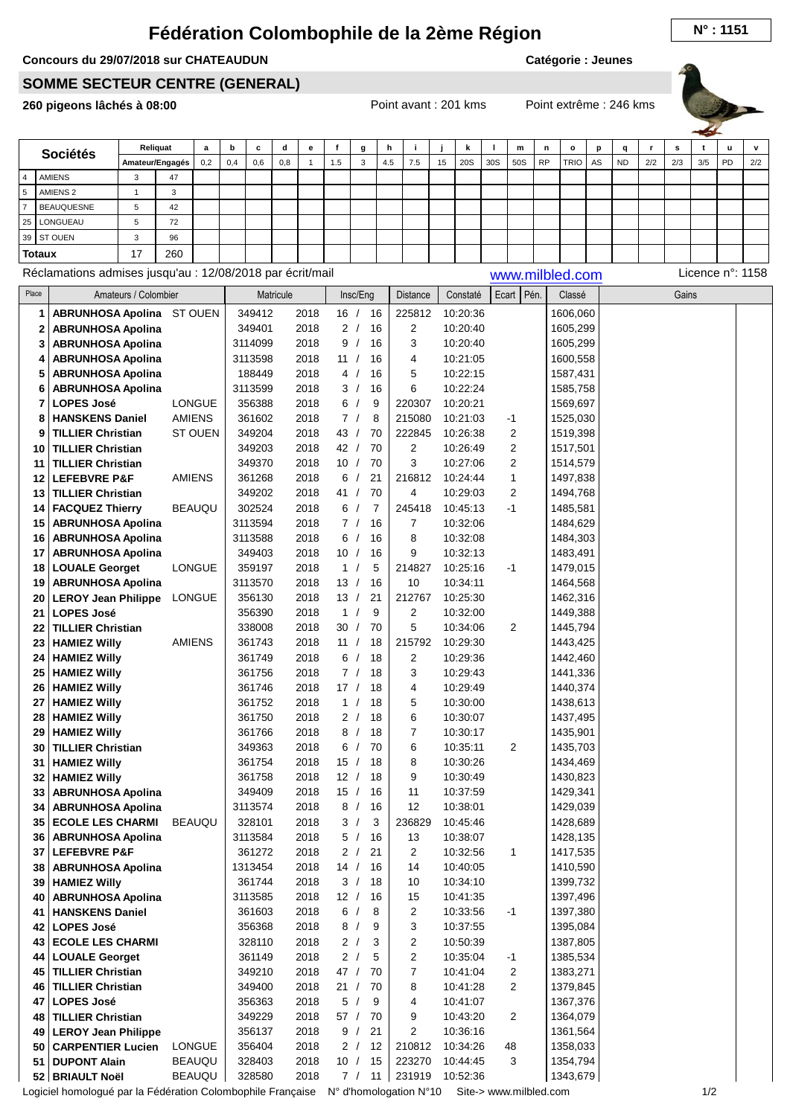## **Fédération Colombophile de la 2ème Région N° : <sup>1151</sup>**

## **Concours du 29/07/2018 sur CHATEAUDUN**

**Catégorie : Jeunes**

## **SOMME SECTEUR CENTRE (GENERAL)**

**260 pigeons lâchés à 08:00** Point avant : 201 kms Point extrême : 246 kms



| <b>Sociétés</b> |                     |                 | Reliquat | a   | b   | c   | a   | е |     | g  | n   |     |    |     |     | m   | n         | $\circ$     |    | α         |     | s   |     | u  | $\mathbf{v}$ |
|-----------------|---------------------|-----------------|----------|-----|-----|-----|-----|---|-----|----|-----|-----|----|-----|-----|-----|-----------|-------------|----|-----------|-----|-----|-----|----|--------------|
|                 |                     | Amateur/Engagés |          | 0,2 | 0,4 | 0,6 | 0,8 |   | 1.5 | -3 | 4.5 | 7.5 | 15 | 20S | 30S | 50S | <b>RP</b> | <b>TRIO</b> | AS | <b>ND</b> | 2/2 | 2/3 | 3/5 | PD | 2/2          |
| 4               | AMIENS              |                 | 47       |     |     |     |     |   |     |    |     |     |    |     |     |     |           |             |    |           |     |     |     |    |              |
| 5               | AMIENS <sub>2</sub> |                 | $\sim$   |     |     |     |     |   |     |    |     |     |    |     |     |     |           |             |    |           |     |     |     |    |              |
|                 | <b>BEAUQUESNE</b>   | Ð               | 42       |     |     |     |     |   |     |    |     |     |    |     |     |     |           |             |    |           |     |     |     |    |              |
|                 | 25   LONGUEAU       | Ð               | 72       |     |     |     |     |   |     |    |     |     |    |     |     |     |           |             |    |           |     |     |     |    |              |
|                 | 39 ST OUEN          | $\sim$          | 96       |     |     |     |     |   |     |    |     |     |    |     |     |     |           |             |    |           |     |     |     |    |              |
|                 | <b>Totaux</b>       | 17              | 260      |     |     |     |     |   |     |    |     |     |    |     |     |     |           |             |    |           |     |     |     |    |              |

Réclamations admises jusqu'au : 12/08/2018 par écrit/mail [www.milbled.com](http://www.milbled.com) Licence n°: 1158

| Place | Amateurs / Colombier             |                | Matricule |      | Insc/Eng                      | Distance       | Constaté | Ecart   Pén.   | Classé   | Gains |  |
|-------|----------------------------------|----------------|-----------|------|-------------------------------|----------------|----------|----------------|----------|-------|--|
| 1     | <b>ABRUNHOSA Apolina</b> ST OUEN |                | 349412    | 2018 | 16/<br>16                     | 225812         | 10:20:36 |                | 1606,060 |       |  |
| 2     | <b>ABRUNHOSA Apolina</b>         |                | 349401    | 2018 | 2/<br>16                      | $\overline{c}$ | 10:20:40 |                | 1605,299 |       |  |
| 3     | <b>ABRUNHOSA Apolina</b>         |                | 3114099   | 2018 | 9/<br>16                      | 3              | 10:20:40 |                | 1605,299 |       |  |
| 4     | <b>ABRUNHOSA Apolina</b>         |                | 3113598   | 2018 | 16<br>11 /                    | 4              | 10:21:05 |                | 1600,558 |       |  |
| 5     | <b>ABRUNHOSA Apolina</b>         |                | 188449    | 2018 | 16<br>4/                      | 5              | 10:22:15 |                | 1587,431 |       |  |
| 6     | <b>ABRUNHOSA Apolina</b>         |                | 3113599   | 2018 | 16<br>3/                      | 6              | 10:22:24 |                | 1585,758 |       |  |
| 7     | <b>LOPES José</b>                | <b>LONGUE</b>  | 356388    | 2018 | 6/<br>9                       | 220307         | 10:20:21 |                | 1569,697 |       |  |
| 8     | <b>HANSKENS Daniel</b>           | <b>AMIENS</b>  | 361602    | 2018 | 7/<br>8                       | 215080         | 10:21:03 | -1             | 1525,030 |       |  |
| 9     | <b>TILLIER Christian</b>         | <b>ST OUEN</b> | 349204    | 2018 | 43/<br>70                     | 222845         | 10:26:38 | 2              | 1519,398 |       |  |
| 10    | <b>TILLIER Christian</b>         |                | 349203    | 2018 | 42/<br>70                     | 2              | 10:26:49 | 2              | 1517,501 |       |  |
| 11    | <b>TILLIER Christian</b>         |                | 349370    | 2018 | 10 /<br>70                    | 3              | 10:27:06 | 2              | 1514,579 |       |  |
| 12    | <b>LEFEBVRE P&amp;F</b>          | <b>AMIENS</b>  | 361268    | 2018 | 6/<br>21                      | 216812         | 10:24:44 | 1              | 1497,838 |       |  |
| 13    | <b>TILLIER Christian</b>         |                | 349202    | 2018 | 41/<br>70                     | 4              | 10:29:03 | 2              | 1494,768 |       |  |
| 14    | <b>FACQUEZ Thierry</b>           | <b>BEAUQU</b>  | 302524    | 2018 | 6/<br>7                       | 245418         | 10:45:13 | $-1$           | 1485,581 |       |  |
| 15    | <b>ABRUNHOSA Apolina</b>         |                | 3113594   | 2018 | 7/<br>16                      | 7              | 10:32:06 |                | 1484,629 |       |  |
| 16    | <b>ABRUNHOSA Apolina</b>         |                | 3113588   | 2018 | 16<br>6/                      | 8              | 10:32:08 |                | 1484,303 |       |  |
| 17    | <b>ABRUNHOSA Apolina</b>         |                | 349403    | 2018 | 10/<br>16                     | 9              | 10:32:13 |                | 1483,491 |       |  |
|       | 18   LOUALE Georget              | <b>LONGUE</b>  | 359197    | 2018 | 1 /<br>5                      | 214827         | 10:25:16 | $-1$           | 1479,015 |       |  |
| 19    | <b>ABRUNHOSA Apolina</b>         |                | 3113570   | 2018 | 13/<br>16                     | 10             | 10:34:11 |                | 1464,568 |       |  |
| 20    | <b>LEROY Jean Philippe</b>       | <b>LONGUE</b>  | 356130    | 2018 | 13/<br>21                     | 212767         | 10:25:30 |                | 1462,316 |       |  |
| 21    | <b>LOPES José</b>                |                | 356390    | 2018 | $\mathbf{1}$<br>$\prime$<br>9 | $\overline{c}$ | 10:32:00 |                | 1449,388 |       |  |
| 22    | <b>TILLIER Christian</b>         |                | 338008    | 2018 | 30/<br>70                     | 5              | 10:34:06 | 2              | 1445,794 |       |  |
| 23    | <b>HAMIEZ Willy</b>              | <b>AMIENS</b>  | 361743    | 2018 | 11 /<br>18                    | 215792         | 10:29:30 |                | 1443,425 |       |  |
| 24    | <b>HAMIEZ Willy</b>              |                | 361749    | 2018 | 6/<br>18                      | 2              | 10:29:36 |                | 1442,460 |       |  |
| 25    | <b>HAMIEZ Willy</b>              |                | 361756    | 2018 | 7/<br>18                      | 3              | 10:29:43 |                | 1441,336 |       |  |
| 26    | <b>HAMIEZ Willy</b>              |                | 361746    | 2018 | 17/<br>18                     | 4              | 10:29:49 |                | 1440,374 |       |  |
| 27    | <b>HAMIEZ Willy</b>              |                | 361752    | 2018 | 1 /<br>18                     | 5              | 10:30:00 |                | 1438,613 |       |  |
| 28    | <b>HAMIEZ Willy</b>              |                | 361750    | 2018 | 2/<br>18                      | 6              | 10:30:07 |                | 1437,495 |       |  |
| 29    | <b>HAMIEZ Willy</b>              |                | 361766    | 2018 | 18<br>8/                      | $\overline{7}$ | 10:30:17 |                | 1435,901 |       |  |
| 30    | <b>TILLIER Christian</b>         |                | 349363    | 2018 | 70<br>6/                      | 6              | 10:35:11 | 2              | 1435,703 |       |  |
| 31    | <b>HAMIEZ Willy</b>              |                | 361754    | 2018 | 15/<br>18                     | 8              | 10:30:26 |                | 1434,469 |       |  |
| 32    | <b>HAMIEZ Willy</b>              |                | 361758    | 2018 | 12/<br>18                     | 9              | 10:30:49 |                | 1430,823 |       |  |
| 33    | <b>ABRUNHOSA Apolina</b>         |                | 349409    | 2018 | 15/<br>16                     | 11             | 10:37:59 |                | 1429,341 |       |  |
| 34    | <b>ABRUNHOSA Apolina</b>         |                | 3113574   | 2018 | 8/<br>16                      | 12             | 10:38:01 |                | 1429,039 |       |  |
| 35    | <b>ECOLE LES CHARMI</b>          | <b>BEAUQU</b>  | 328101    | 2018 | 3/<br>3                       | 236829         | 10:45:46 |                | 1428,689 |       |  |
| 36    | <b>ABRUNHOSA Apolina</b>         |                | 3113584   | 2018 | 5/<br>16                      | 13             | 10:38:07 |                | 1428,135 |       |  |
| 37    | <b>LEFEBVRE P&amp;F</b>          |                | 361272    | 2018 | 2/<br>21                      | 2              | 10:32:56 | 1              | 1417,535 |       |  |
| 38    | <b>ABRUNHOSA Apolina</b>         |                | 1313454   | 2018 | 14/<br>16                     | 14             | 10:40:05 |                | 1410,590 |       |  |
| 39    | <b>HAMIEZ Willy</b>              |                | 361744    | 2018 | 3/<br>18                      | 10             | 10:34:10 |                | 1399,732 |       |  |
| 40    | <b>ABRUNHOSA Apolina</b>         |                | 3113585   | 2018 | 12 / 16                       | 15             | 10:41:35 |                | 1397,496 |       |  |
| 41    | <b>HANSKENS Daniel</b>           |                | 361603    | 2018 | 6/<br>8                       | 2              | 10:33:56 | $-1$           | 1397,380 |       |  |
| 42    | <b>LOPES José</b>                |                | 356368    | 2018 | 8/<br>9                       | 3              | 10:37:55 |                | 1395,084 |       |  |
|       | 43 ECOLE LES CHARMI              |                | 328110    | 2018 | 2 /<br>3                      | 2              | 10:50:39 |                | 1387,805 |       |  |
|       | 44   LOUALE Georget              |                | 361149    | 2018 | 2 /<br>5                      | 2              | 10:35:04 | $-1$           | 1385,534 |       |  |
|       | 45   TILLIER Christian           |                | 349210    | 2018 | 47/<br>70                     | 7              | 10:41:04 | 2              | 1383,271 |       |  |
|       | 46   TILLIER Christian           |                | 349400    | 2018 | 21/<br>70                     | 8              | 10:41:28 | 2              | 1379,845 |       |  |
| 47    | <b>LOPES José</b>                |                | 356363    | 2018 | 5/<br>9                       | 4              | 10:41:07 |                | 1367,376 |       |  |
| 48    | <b>TILLIER Christian</b>         |                | 349229    | 2018 | 57 /<br>70                    | 9              | 10:43:20 | $\overline{c}$ | 1364,079 |       |  |
| 49    | <b>LEROY Jean Philippe</b>       |                | 356137    | 2018 | 9/<br>21                      | 2              | 10:36:16 |                | 1361,564 |       |  |
| 50    | <b>CARPENTIER Lucien</b>         | <b>LONGUE</b>  | 356404    | 2018 | 2/<br>-12                     | 210812         | 10:34:26 | 48             | 1358,033 |       |  |
| 51    | <b>DUPONT Alain</b>              | <b>BEAUQU</b>  | 328403    | 2018 | 10 /<br>15                    | 223270         | 10:44:45 | 3              | 1354,794 |       |  |
|       | 52 BRIAULT Noël                  | <b>BEAUQU</b>  | 328580    | 2018 | 7 / 11                        | 231919         | 10:52:36 |                | 1343,679 |       |  |

Logiciel homologué par la Fédération Colombophile Française N° d'homologation N°10 Site-> www.milbled.com 1/2